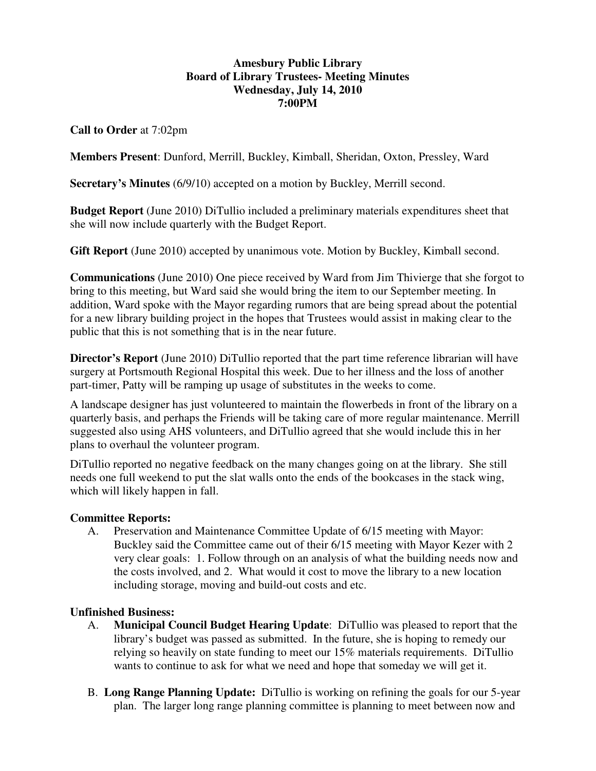## **Amesbury Public Library Board of Library Trustees- Meeting Minutes Wednesday, July 14, 2010 7:00PM**

**Call to Order** at 7:02pm

**Members Present**: Dunford, Merrill, Buckley, Kimball, Sheridan, Oxton, Pressley, Ward

**Secretary's Minutes** (6/9/10) accepted on a motion by Buckley, Merrill second.

**Budget Report** (June 2010) DiTullio included a preliminary materials expenditures sheet that she will now include quarterly with the Budget Report.

**Gift Report** (June 2010) accepted by unanimous vote. Motion by Buckley, Kimball second.

**Communications** (June 2010) One piece received by Ward from Jim Thivierge that she forgot to bring to this meeting, but Ward said she would bring the item to our September meeting. In addition, Ward spoke with the Mayor regarding rumors that are being spread about the potential for a new library building project in the hopes that Trustees would assist in making clear to the public that this is not something that is in the near future.

**Director's Report** (June 2010) DiTullio reported that the part time reference librarian will have surgery at Portsmouth Regional Hospital this week. Due to her illness and the loss of another part-timer, Patty will be ramping up usage of substitutes in the weeks to come.

A landscape designer has just volunteered to maintain the flowerbeds in front of the library on a quarterly basis, and perhaps the Friends will be taking care of more regular maintenance. Merrill suggested also using AHS volunteers, and DiTullio agreed that she would include this in her plans to overhaul the volunteer program.

DiTullio reported no negative feedback on the many changes going on at the library. She still needs one full weekend to put the slat walls onto the ends of the bookcases in the stack wing, which will likely happen in fall.

### **Committee Reports:**

A. Preservation and Maintenance Committee Update of 6/15 meeting with Mayor: Buckley said the Committee came out of their 6/15 meeting with Mayor Kezer with 2 very clear goals: 1. Follow through on an analysis of what the building needs now and the costs involved, and 2. What would it cost to move the library to a new location including storage, moving and build-out costs and etc.

# **Unfinished Business:**

- A. **Municipal Council Budget Hearing Update**: DiTullio was pleased to report that the library's budget was passed as submitted. In the future, she is hoping to remedy our relying so heavily on state funding to meet our 15% materials requirements. DiTullio wants to continue to ask for what we need and hope that someday we will get it.
- B. **Long Range Planning Update:** DiTullio is working on refining the goals for our 5-year plan. The larger long range planning committee is planning to meet between now and